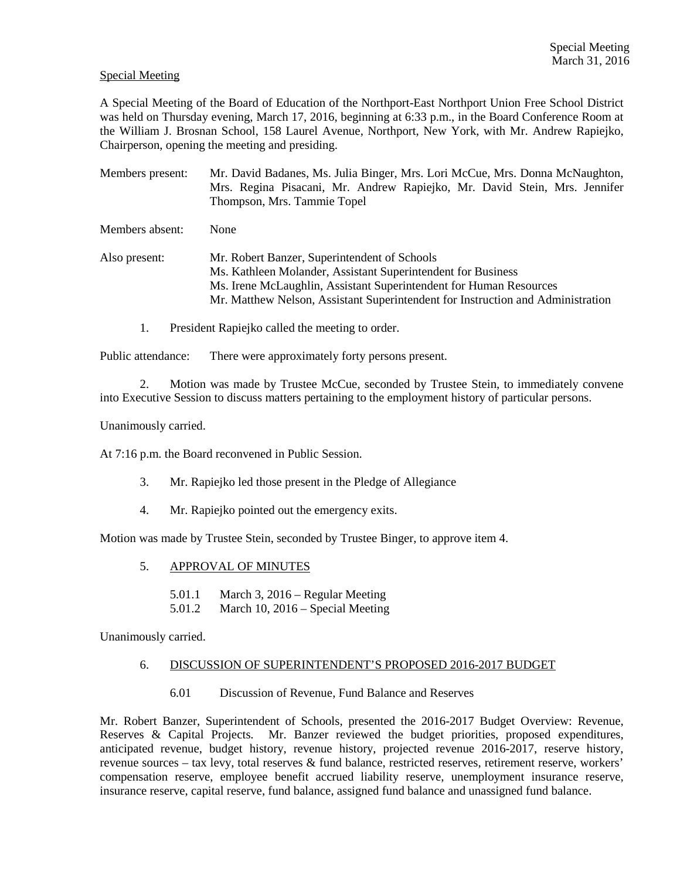#### Special Meeting

A Special Meeting of the Board of Education of the Northport-East Northport Union Free School District was held on Thursday evening, March 17, 2016, beginning at 6:33 p.m., in the Board Conference Room at the William J. Brosnan School, 158 Laurel Avenue, Northport, New York, with Mr. Andrew Rapiejko, Chairperson, opening the meeting and presiding.

Members present: Mr. David Badanes, Ms. Julia Binger, Mrs. Lori McCue, Mrs. Donna McNaughton, Mrs. Regina Pisacani, Mr. Andrew Rapiejko, Mr. David Stein, Mrs. Jennifer Thompson, Mrs. Tammie Topel Members absent: None Also present: Mr. Robert Banzer, Superintendent of Schools Ms. Kathleen Molander, Assistant Superintendent for Business Ms. Irene McLaughlin, Assistant Superintendent for Human Resources Mr. Matthew Nelson, Assistant Superintendent for Instruction and Administration

1. President Rapiejko called the meeting to order.

Public attendance: There were approximately forty persons present.

2. Motion was made by Trustee McCue, seconded by Trustee Stein, to immediately convene into Executive Session to discuss matters pertaining to the employment history of particular persons.

Unanimously carried.

At 7:16 p.m. the Board reconvened in Public Session.

- 3. Mr. Rapiejko led those present in the Pledge of Allegiance
- 4. Mr. Rapiejko pointed out the emergency exits.

Motion was made by Trustee Stein, seconded by Trustee Binger, to approve item 4.

- 5. APPROVAL OF MINUTES
	- 5.01.1 March 3, 2016 Regular Meeting
	- 5.01.2 March 10, 2016 Special Meeting

Unanimously carried.

#### 6. DISCUSSION OF SUPERINTENDENT'S PROPOSED 2016-2017 BUDGET

6.01 Discussion of Revenue, Fund Balance and Reserves

Mr. Robert Banzer, Superintendent of Schools, presented the 2016-2017 Budget Overview: Revenue, Reserves & Capital Projects. Mr. Banzer reviewed the budget priorities, proposed expenditures, anticipated revenue, budget history, revenue history, projected revenue 2016-2017, reserve history, revenue sources – tax levy, total reserves & fund balance, restricted reserves, retirement reserve, workers' compensation reserve, employee benefit accrued liability reserve, unemployment insurance reserve, insurance reserve, capital reserve, fund balance, assigned fund balance and unassigned fund balance.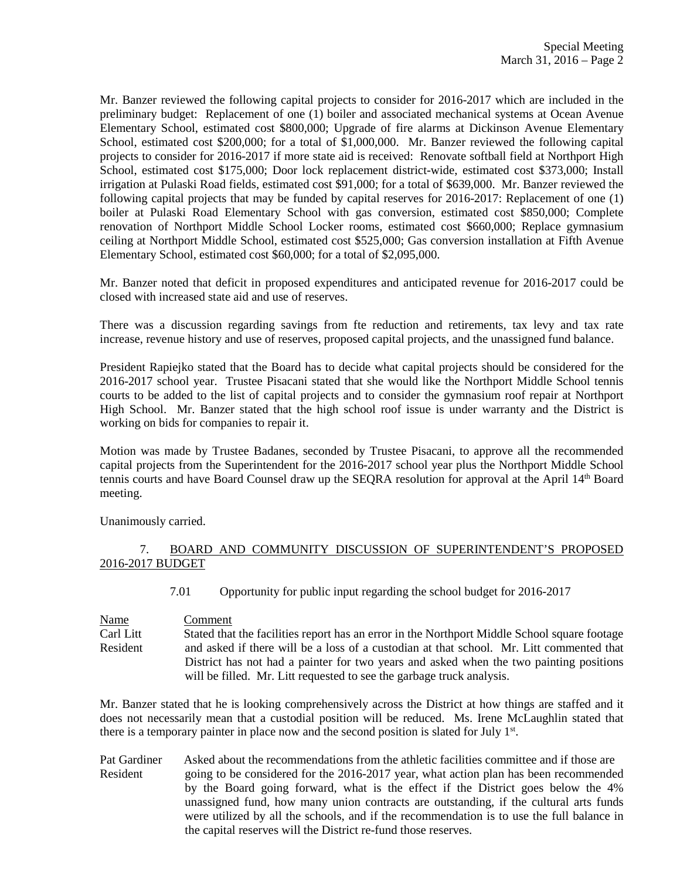Mr. Banzer reviewed the following capital projects to consider for 2016-2017 which are included in the preliminary budget: Replacement of one (1) boiler and associated mechanical systems at Ocean Avenue Elementary School, estimated cost \$800,000; Upgrade of fire alarms at Dickinson Avenue Elementary School, estimated cost \$200,000; for a total of \$1,000,000. Mr. Banzer reviewed the following capital projects to consider for 2016-2017 if more state aid is received: Renovate softball field at Northport High School, estimated cost \$175,000; Door lock replacement district-wide, estimated cost \$373,000; Install irrigation at Pulaski Road fields, estimated cost \$91,000; for a total of \$639,000. Mr. Banzer reviewed the following capital projects that may be funded by capital reserves for 2016-2017: Replacement of one (1) boiler at Pulaski Road Elementary School with gas conversion, estimated cost \$850,000; Complete renovation of Northport Middle School Locker rooms, estimated cost \$660,000; Replace gymnasium ceiling at Northport Middle School, estimated cost \$525,000; Gas conversion installation at Fifth Avenue Elementary School, estimated cost \$60,000; for a total of \$2,095,000.

Mr. Banzer noted that deficit in proposed expenditures and anticipated revenue for 2016-2017 could be closed with increased state aid and use of reserves.

There was a discussion regarding savings from fte reduction and retirements, tax levy and tax rate increase, revenue history and use of reserves, proposed capital projects, and the unassigned fund balance.

President Rapiejko stated that the Board has to decide what capital projects should be considered for the 2016-2017 school year. Trustee Pisacani stated that she would like the Northport Middle School tennis courts to be added to the list of capital projects and to consider the gymnasium roof repair at Northport High School. Mr. Banzer stated that the high school roof issue is under warranty and the District is working on bids for companies to repair it.

Motion was made by Trustee Badanes, seconded by Trustee Pisacani, to approve all the recommended capital projects from the Superintendent for the 2016-2017 school year plus the Northport Middle School tennis courts and have Board Counsel draw up the SEQRA resolution for approval at the April 14th Board meeting.

Unanimously carried.

# 7. BOARD AND COMMUNITY DISCUSSION OF SUPERINTENDENT'S PROPOSED 2016-2017 BUDGET

7.01 Opportunity for public input regarding the school budget for 2016-2017

Name Comment Carl Litt Stated that the facilities report has an error in the Northport Middle School square footage Resident and asked if there will be a loss of a custodian at that school. Mr. Litt commented that District has not had a painter for two years and asked when the two painting positions will be filled. Mr. Litt requested to see the garbage truck analysis.

Mr. Banzer stated that he is looking comprehensively across the District at how things are staffed and it does not necessarily mean that a custodial position will be reduced. Ms. Irene McLaughlin stated that there is a temporary painter in place now and the second position is slated for July 1<sup>st</sup>.

Pat Gardiner Asked about the recommendations from the athletic facilities committee and if those are Resident going to be considered for the 2016-2017 year, what action plan has been recommended by the Board going forward, what is the effect if the District goes below the 4% unassigned fund, how many union contracts are outstanding, if the cultural arts funds were utilized by all the schools, and if the recommendation is to use the full balance in the capital reserves will the District re-fund those reserves.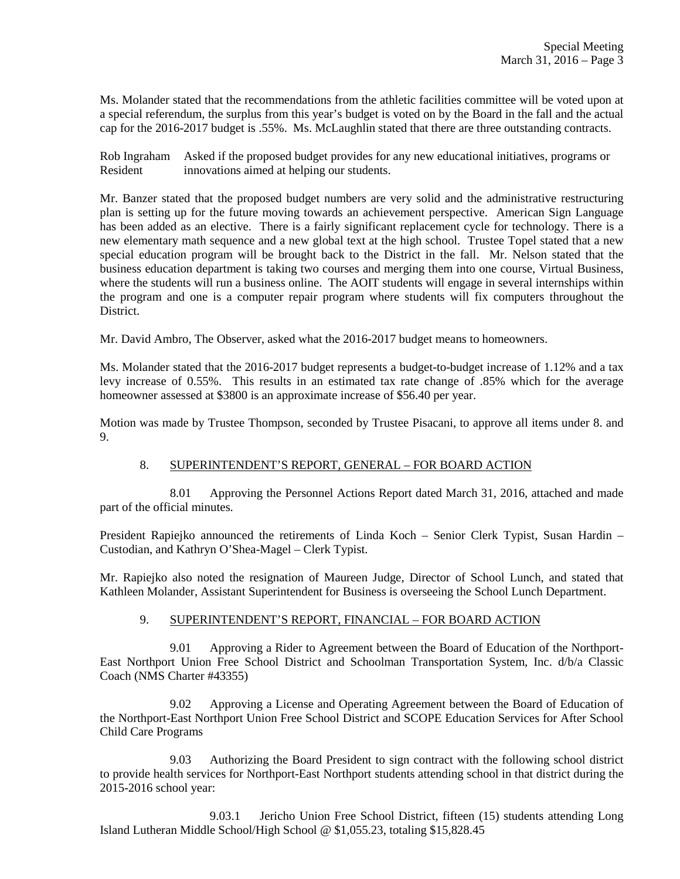Ms. Molander stated that the recommendations from the athletic facilities committee will be voted upon at a special referendum, the surplus from this year's budget is voted on by the Board in the fall and the actual cap for the 2016-2017 budget is .55%. Ms. McLaughlin stated that there are three outstanding contracts.

Rob Ingraham Asked if the proposed budget provides for any new educational initiatives, programs or Resident innovations aimed at helping our students.

Mr. Banzer stated that the proposed budget numbers are very solid and the administrative restructuring plan is setting up for the future moving towards an achievement perspective. American Sign Language has been added as an elective. There is a fairly significant replacement cycle for technology. There is a new elementary math sequence and a new global text at the high school. Trustee Topel stated that a new special education program will be brought back to the District in the fall. Mr. Nelson stated that the business education department is taking two courses and merging them into one course, Virtual Business, where the students will run a business online. The AOIT students will engage in several internships within the program and one is a computer repair program where students will fix computers throughout the District.

Mr. David Ambro, The Observer, asked what the 2016-2017 budget means to homeowners.

Ms. Molander stated that the 2016-2017 budget represents a budget-to-budget increase of 1.12% and a tax levy increase of 0.55%. This results in an estimated tax rate change of .85% which for the average homeowner assessed at \$3800 is an approximate increase of \$56.40 per year.

Motion was made by Trustee Thompson, seconded by Trustee Pisacani, to approve all items under 8. and 9.

# 8. SUPERINTENDENT'S REPORT, GENERAL – FOR BOARD ACTION

 8.01 Approving the Personnel Actions Report dated March 31, 2016, attached and made part of the official minutes.

President Rapiejko announced the retirements of Linda Koch – Senior Clerk Typist, Susan Hardin – Custodian, and Kathryn O'Shea-Magel – Clerk Typist.

Mr. Rapiejko also noted the resignation of Maureen Judge, Director of School Lunch, and stated that Kathleen Molander, Assistant Superintendent for Business is overseeing the School Lunch Department.

# 9. SUPERINTENDENT'S REPORT, FINANCIAL – FOR BOARD ACTION

 9.01 Approving a Rider to Agreement between the Board of Education of the Northport-East Northport Union Free School District and Schoolman Transportation System, Inc. d/b/a Classic Coach (NMS Charter #43355)

 9.02 Approving a License and Operating Agreement between the Board of Education of the Northport-East Northport Union Free School District and SCOPE Education Services for After School Child Care Programs

 9.03 Authorizing the Board President to sign contract with the following school district to provide health services for Northport-East Northport students attending school in that district during the 2015-2016 school year:

 9.03.1 Jericho Union Free School District, fifteen (15) students attending Long Island Lutheran Middle School/High School @ \$1,055.23, totaling \$15,828.45